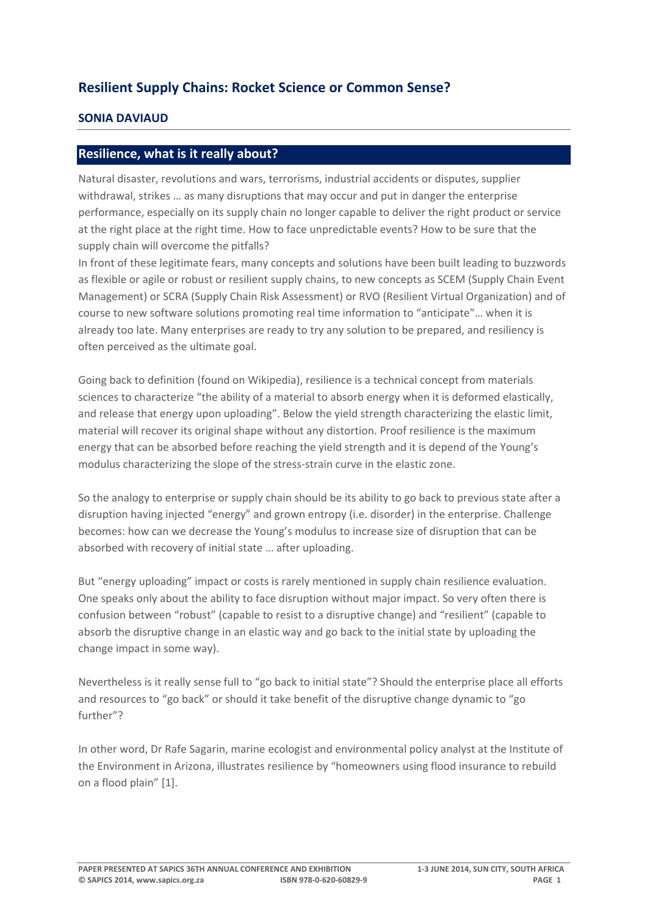## **Resilient Supply Chains: Rocket Science or Common Sense?**

## **SONIA DAVIAUD**

## **Resilience, what is it really about?**

Natural disaster, revolutions and wars, terrorisms, industrial accidents or disputes, supplier withdrawal, strikes … as many disruptions that may occur and put in danger the enterprise performance, especially on its supply chain no longer capable to deliver the right product or service at the right place at the right time. How to face unpredictable events? How to be sure that the supply chain will overcome the pitfalls?

In front of these legitimate fears, many concepts and solutions have been built leading to buzzwords as flexible or agile or robust or resilient supply chains, to new concepts as SCEM (Supply Chain Event Management) or SCRA (Supply Chain Risk Assessment) or RVO (Resilient Virtual Organization) and of course to new software solutions promoting real time information to "anticipate"… when it is already too late. Many enterprises are ready to try any solution to be prepared, and resiliency is often perceived as the ultimate goal.

Going back to definition (found on Wikipedia), resilience is a technical concept from materials sciences to characterize "the ability of a material to absorb energy when it is deformed elastically, and release that energy upon uploading". Below the yield strength characterizing the elastic limit, material will recover its original shape without any distortion. Proof resilience is the maximum energy that can be absorbed before reaching the yield strength and it is depend of the Young's modulus characterizing the slope of the stress‐strain curve in the elastic zone.

So the analogy to enterprise or supply chain should be its ability to go back to previous state after a disruption having injected "energy" and grown entropy (i.e. disorder) in the enterprise. Challenge becomes: how can we decrease the Young's modulus to increase size of disruption that can be absorbed with recovery of initial state … after uploading.

But "energy uploading" impact or costs is rarely mentioned in supply chain resilience evaluation. One speaks only about the ability to face disruption without major impact. So very often there is confusion between "robust" (capable to resist to a disruptive change) and "resilient" (capable to absorb the disruptive change in an elastic way and go back to the initial state by uploading the change impact in some way).

Nevertheless is it really sense full to "go back to initial state"? Should the enterprise place all efforts and resources to "go back" or should it take benefit of the disruptive change dynamic to "go further"?

In other word, Dr Rafe Sagarin, marine ecologist and environmental policy analyst at the Institute of the Environment in Arizona, illustrates resilience by "homeowners using flood insurance to rebuild on a flood plain" [1].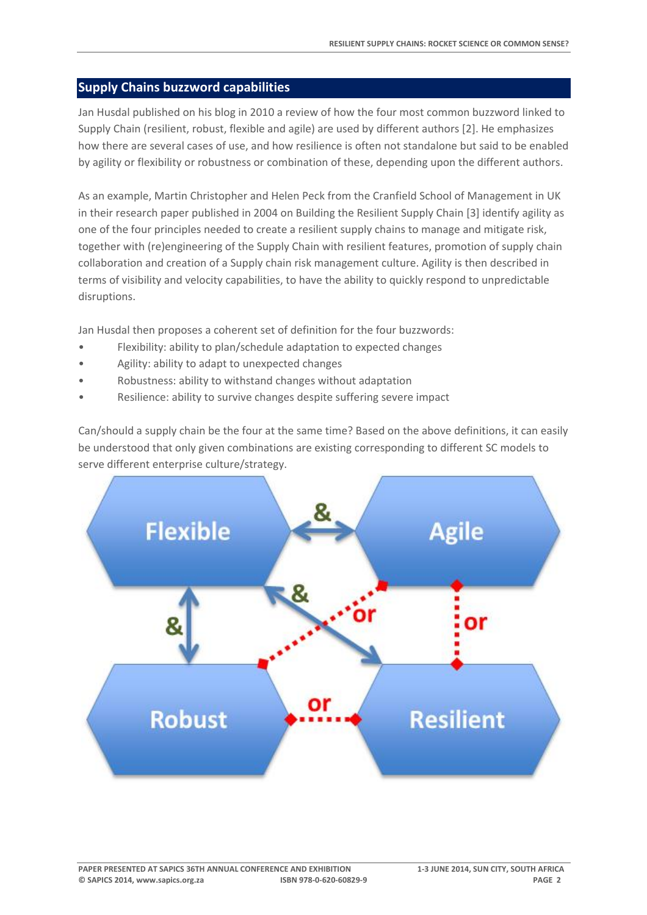## **Supply Chains buzzword capabilities**

Jan Husdal published on his blog in 2010 a review of how the four most common buzzword linked to Supply Chain (resilient, robust, flexible and agile) are used by different authors [2]. He emphasizes how there are several cases of use, and how resilience is often not standalone but said to be enabled by agility or flexibility or robustness or combination of these, depending upon the different authors.

As an example, Martin Christopher and Helen Peck from the Cranfield School of Management in UK in their research paper published in 2004 on Building the Resilient Supply Chain [3] identify agility as one of the four principles needed to create a resilient supply chains to manage and mitigate risk, together with (re)engineering of the Supply Chain with resilient features, promotion of supply chain collaboration and creation of a Supply chain risk management culture. Agility is then described in terms of visibility and velocity capabilities, to have the ability to quickly respond to unpredictable disruptions.

Jan Husdal then proposes a coherent set of definition for the four buzzwords:

- Flexibility: ability to plan/schedule adaptation to expected changes
- Agility: ability to adapt to unexpected changes
- Robustness: ability to withstand changes without adaptation
- Resilience: ability to survive changes despite suffering severe impact

Can/should a supply chain be the four at the same time? Based on the above definitions, it can easily be understood that only given combinations are existing corresponding to different SC models to serve different enterprise culture/strategy.

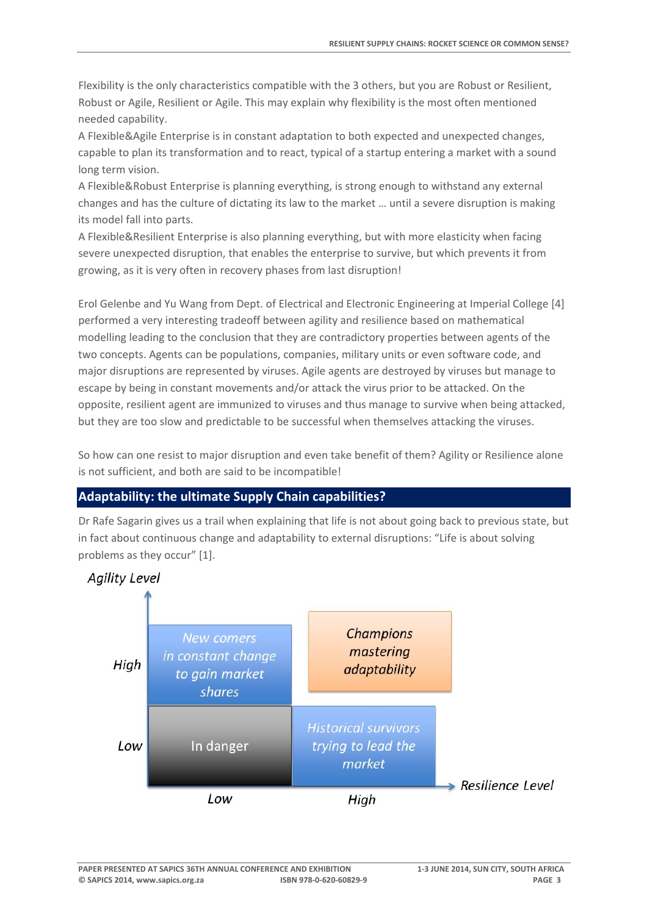Flexibility is the only characteristics compatible with the 3 others, but you are Robust or Resilient, Robust or Agile, Resilient or Agile. This may explain why flexibility is the most often mentioned needed capability.

A Flexible&Agile Enterprise is in constant adaptation to both expected and unexpected changes, capable to plan its transformation and to react, typical of a startup entering a market with a sound long term vision.

A Flexible&Robust Enterprise is planning everything, is strong enough to withstand any external changes and has the culture of dictating its law to the market … until a severe disruption is making its model fall into parts.

A Flexible&Resilient Enterprise is also planning everything, but with more elasticity when facing severe unexpected disruption, that enables the enterprise to survive, but which prevents it from growing, as it is very often in recovery phases from last disruption!

Erol Gelenbe and Yu Wang from Dept. of Electrical and Electronic Engineering at Imperial College [4] performed a very interesting tradeoff between agility and resilience based on mathematical modelling leading to the conclusion that they are contradictory properties between agents of the two concepts. Agents can be populations, companies, military units or even software code, and major disruptions are represented by viruses. Agile agents are destroyed by viruses but manage to escape by being in constant movements and/or attack the virus prior to be attacked. On the opposite, resilient agent are immunized to viruses and thus manage to survive when being attacked, but they are too slow and predictable to be successful when themselves attacking the viruses.

So how can one resist to major disruption and even take benefit of them? Agility or Resilience alone is not sufficient, and both are said to be incompatible!

#### **Adaptability: the ultimate Supply Chain capabilities?**

Dr Rafe Sagarin gives us a trail when explaining that life is not about going back to previous state, but in fact about continuous change and adaptability to external disruptions: "Life is about solving problems as they occur" [1].

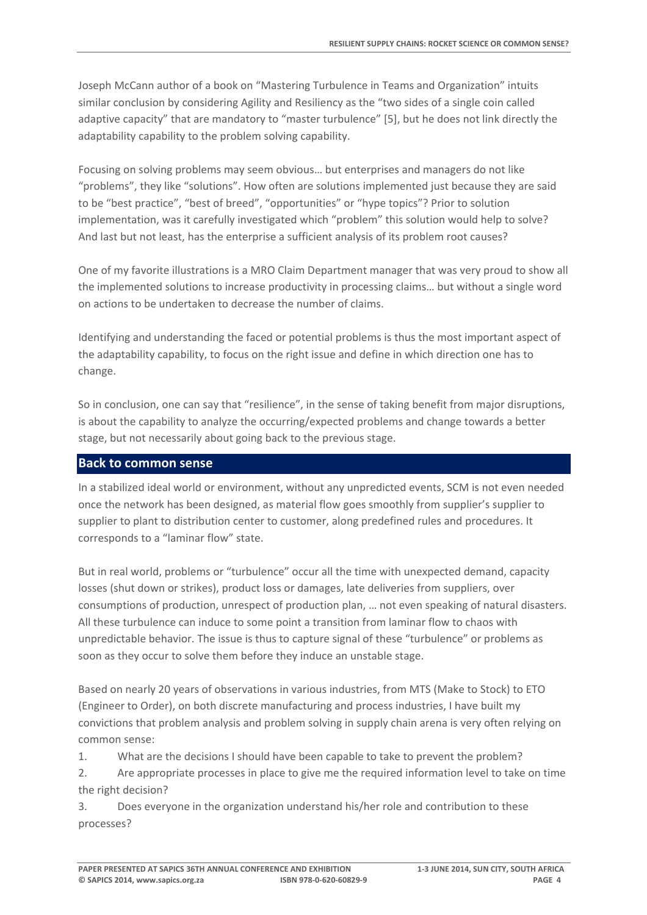Joseph McCann author of a book on "Mastering Turbulence in Teams and Organization" intuits similar conclusion by considering Agility and Resiliency as the "two sides of a single coin called adaptive capacity" that are mandatory to "master turbulence" [5], but he does not link directly the adaptability capability to the problem solving capability.

Focusing on solving problems may seem obvious… but enterprises and managers do not like "problems", they like "solutions". How often are solutions implemented just because they are said to be "best practice", "best of breed", "opportunities" or "hype topics"? Prior to solution implementation, was it carefully investigated which "problem" this solution would help to solve? And last but not least, has the enterprise a sufficient analysis of its problem root causes?

One of my favorite illustrations is a MRO Claim Department manager that was very proud to show all the implemented solutions to increase productivity in processing claims… but without a single word on actions to be undertaken to decrease the number of claims.

Identifying and understanding the faced or potential problems is thus the most important aspect of the adaptability capability, to focus on the right issue and define in which direction one has to change.

So in conclusion, one can say that "resilience", in the sense of taking benefit from major disruptions, is about the capability to analyze the occurring/expected problems and change towards a better stage, but not necessarily about going back to the previous stage.

## **Back to common sense**

In a stabilized ideal world or environment, without any unpredicted events, SCM is not even needed once the network has been designed, as material flow goes smoothly from supplier's supplier to supplier to plant to distribution center to customer, along predefined rules and procedures. It corresponds to a "laminar flow" state.

But in real world, problems or "turbulence" occur all the time with unexpected demand, capacity losses (shut down or strikes), product loss or damages, late deliveries from suppliers, over consumptions of production, unrespect of production plan, … not even speaking of natural disasters. All these turbulence can induce to some point a transition from laminar flow to chaos with unpredictable behavior. The issue is thus to capture signal of these "turbulence" or problems as soon as they occur to solve them before they induce an unstable stage.

Based on nearly 20 years of observations in various industries, from MTS (Make to Stock) to ETO (Engineer to Order), on both discrete manufacturing and process industries, I have built my convictions that problem analysis and problem solving in supply chain arena is very often relying on common sense:

1. What are the decisions I should have been capable to take to prevent the problem?

2. Are appropriate processes in place to give me the required information level to take on time the right decision?

3. Does everyone in the organization understand his/her role and contribution to these processes?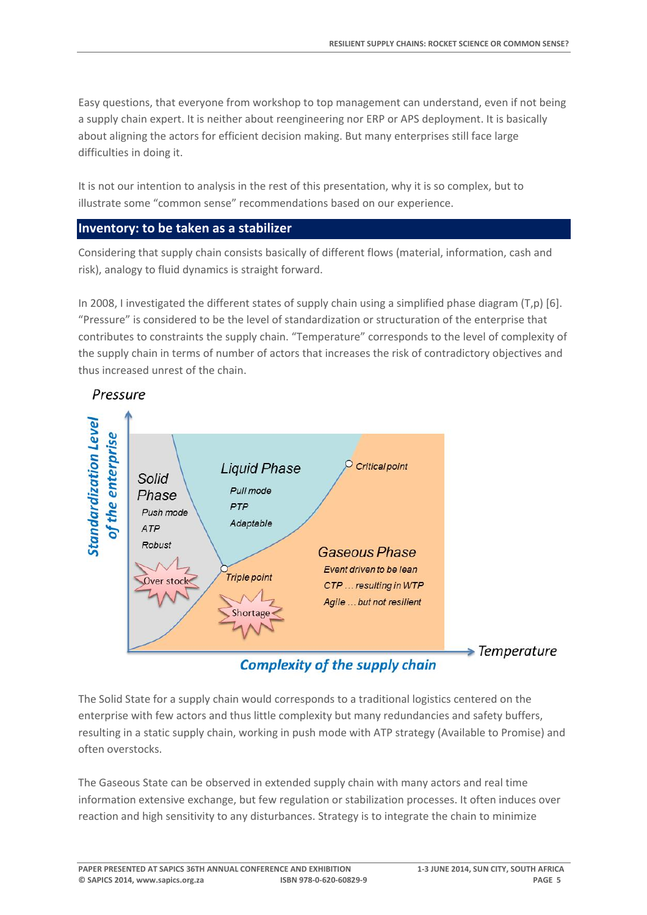Easy questions, that everyone from workshop to top management can understand, even if not being a supply chain expert. It is neither about reengineering nor ERP or APS deployment. It is basically about aligning the actors for efficient decision making. But many enterprises still face large difficulties in doing it.

It is not our intention to analysis in the rest of this presentation, why it is so complex, but to illustrate some "common sense" recommendations based on our experience.

#### **Inventory: to be taken as a stabilizer**

Considering that supply chain consists basically of different flows (material, information, cash and risk), analogy to fluid dynamics is straight forward.

In 2008, I investigated the different states of supply chain using a simplified phase diagram (T,p) [6]. "Pressure" is considered to be the level of standardization or structuration of the enterprise that contributes to constraints the supply chain. "Temperature" corresponds to the level of complexity of the supply chain in terms of number of actors that increases the risk of contradictory objectives and thus increased unrest of the chain.



## Pressure

**Complexity of the supply chain** 

 $\blacktriangleright$  Temperature

The Solid State for a supply chain would corresponds to a traditional logistics centered on the enterprise with few actors and thus little complexity but many redundancies and safety buffers, resulting in a static supply chain, working in push mode with ATP strategy (Available to Promise) and often overstocks.

The Gaseous State can be observed in extended supply chain with many actors and real time information extensive exchange, but few regulation or stabilization processes. It often induces over reaction and high sensitivity to any disturbances. Strategy is to integrate the chain to minimize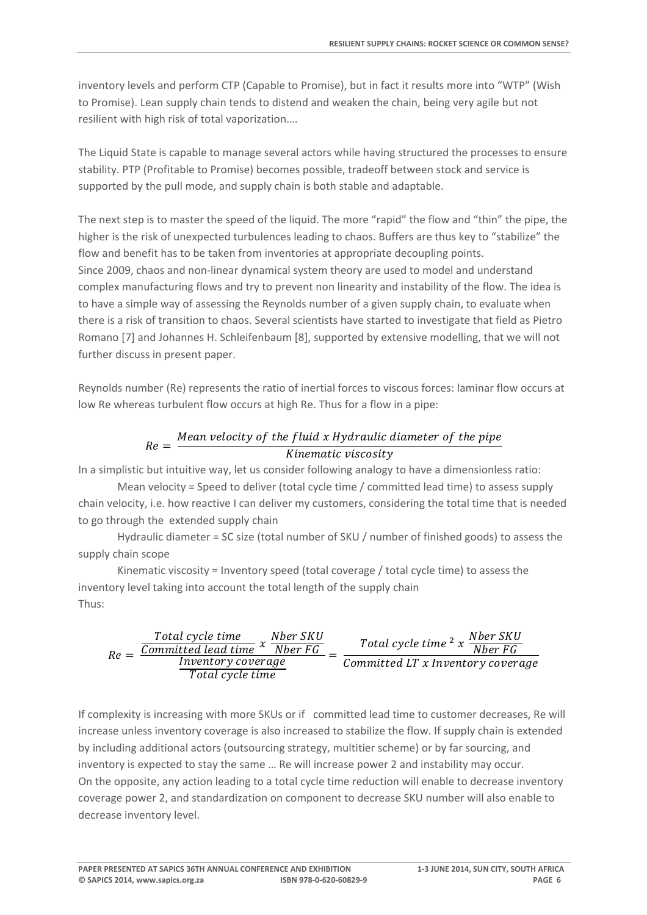inventory levels and perform CTP (Capable to Promise), but in fact it results more into "WTP" (Wish to Promise). Lean supply chain tends to distend and weaken the chain, being very agile but not resilient with high risk of total vaporization….

The Liquid State is capable to manage several actors while having structured the processes to ensure stability. PTP (Profitable to Promise) becomes possible, tradeoff between stock and service is supported by the pull mode, and supply chain is both stable and adaptable.

The next step is to master the speed of the liquid. The more "rapid" the flow and "thin" the pipe, the higher is the risk of unexpected turbulences leading to chaos. Buffers are thus key to "stabilize" the flow and benefit has to be taken from inventories at appropriate decoupling points. Since 2009, chaos and non‐linear dynamical system theory are used to model and understand complex manufacturing flows and try to prevent non linearity and instability of the flow. The idea is to have a simple way of assessing the Reynolds number of a given supply chain, to evaluate when there is a risk of transition to chaos. Several scientists have started to investigate that field as Pietro Romano [7] and Johannes H. Schleifenbaum [8], supported by extensive modelling, that we will not further discuss in present paper.

Reynolds number (Re) represents the ratio of inertial forces to viscous forces: laminar flow occurs at low Re whereas turbulent flow occurs at high Re. Thus for a flow in a pipe:

# $Re = \frac{Mean \, velocity \, of \, the \, fluid \, x \, Hy}$  and  $i$  and  $j$  and  $r$  and  $j$  and  $r$  and  $j$  and  $r$  and  $r$  and  $r$  are  $r$ Kinematic viscosity

In a simplistic but intuitive way, let us consider following analogy to have a dimensionless ratio:

Mean velocity = Speed to deliver (total cycle time / committed lead time) to assess supply chain velocity, i.e. how reactive I can deliver my customers, considering the total time that is needed to go through the extended supply chain

Hydraulic diameter = SC size (total number of SKU / number of finished goods) to assess the supply chain scope

Kinematic viscosity = Inventory speed (total coverage / total cycle time) to assess the inventory level taking into account the total length of the supply chain Thus:

$$
Re = \frac{\frac{Total\ cycle\ time}{Committed\ lead\ time}\ x\ \frac{Nber\ SKU}{Nber\ FG}}{\frac{Inventory\ coverage}{Total\ cycle\ time}} = \frac{Total\ cycle\ time\ ^2\ x\ \frac{Nber\ SKU}{Nber\ FG}}{Committed\ LT\ x\ Inventory\ coverage}
$$

If complexity is increasing with more SKUs or if committed lead time to customer decreases, Re will increase unless inventory coverage is also increased to stabilize the flow. If supply chain is extended by including additional actors (outsourcing strategy, multitier scheme) or by far sourcing, and inventory is expected to stay the same … Re will increase power 2 and instability may occur. On the opposite, any action leading to a total cycle time reduction will enable to decrease inventory coverage power 2, and standardization on component to decrease SKU number will also enable to decrease inventory level.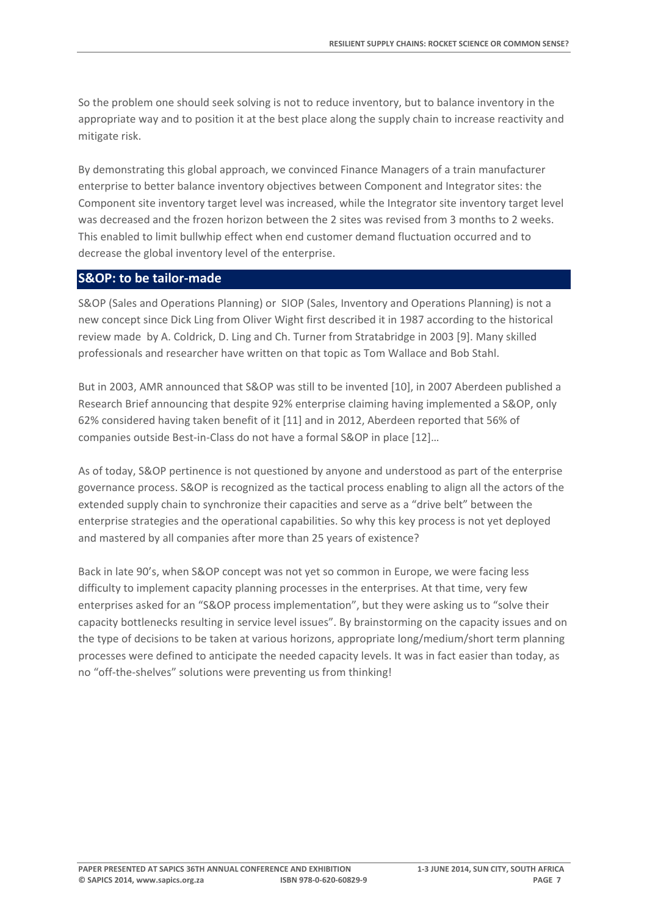So the problem one should seek solving is not to reduce inventory, but to balance inventory in the appropriate way and to position it at the best place along the supply chain to increase reactivity and mitigate risk.

By demonstrating this global approach, we convinced Finance Managers of a train manufacturer enterprise to better balance inventory objectives between Component and Integrator sites: the Component site inventory target level was increased, while the Integrator site inventory target level was decreased and the frozen horizon between the 2 sites was revised from 3 months to 2 weeks. This enabled to limit bullwhip effect when end customer demand fluctuation occurred and to decrease the global inventory level of the enterprise.

#### **S&OP: to be tailor‐made**

S&OP (Sales and Operations Planning) or SIOP (Sales, Inventory and Operations Planning) is not a new concept since Dick Ling from Oliver Wight first described it in 1987 according to the historical review made by A. Coldrick, D. Ling and Ch. Turner from Stratabridge in 2003 [9]. Many skilled professionals and researcher have written on that topic as Tom Wallace and Bob Stahl.

But in 2003, AMR announced that S&OP was still to be invented [10], in 2007 Aberdeen published a Research Brief announcing that despite 92% enterprise claiming having implemented a S&OP, only 62% considered having taken benefit of it [11] and in 2012, Aberdeen reported that 56% of companies outside Best‐in‐Class do not have a formal S&OP in place [12]…

As of today, S&OP pertinence is not questioned by anyone and understood as part of the enterprise governance process. S&OP is recognized as the tactical process enabling to align all the actors of the extended supply chain to synchronize their capacities and serve as a "drive belt" between the enterprise strategies and the operational capabilities. So why this key process is not yet deployed and mastered by all companies after more than 25 years of existence?

Back in late 90's, when S&OP concept was not yet so common in Europe, we were facing less difficulty to implement capacity planning processes in the enterprises. At that time, very few enterprises asked for an "S&OP process implementation", but they were asking us to "solve their capacity bottlenecks resulting in service level issues". By brainstorming on the capacity issues and on the type of decisions to be taken at various horizons, appropriate long/medium/short term planning processes were defined to anticipate the needed capacity levels. It was in fact easier than today, as no "off-the-shelves" solutions were preventing us from thinking!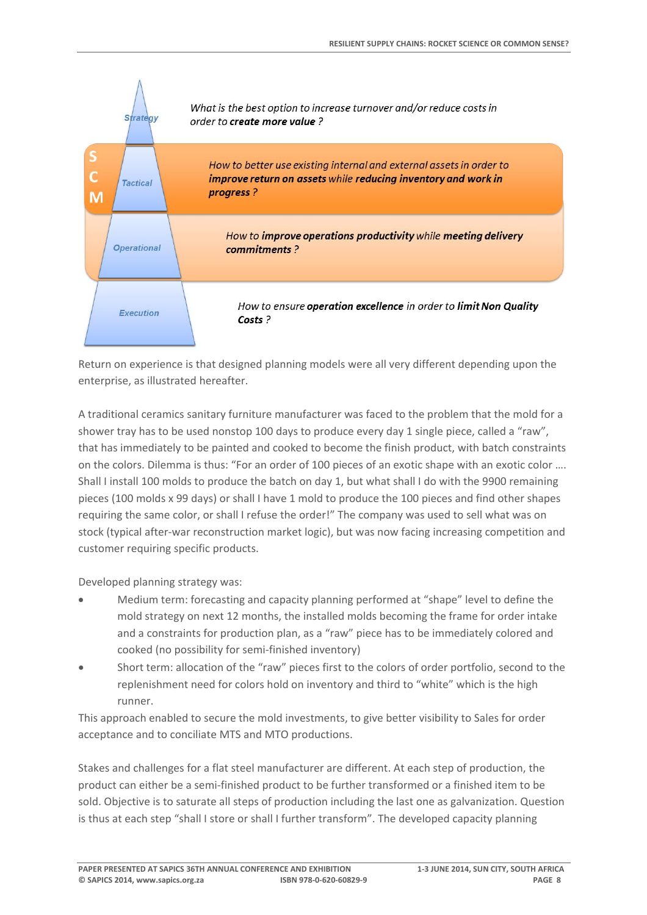

Return on experience is that designed planning models were all very different depending upon the enterprise, as illustrated hereafter.

A traditional ceramics sanitary furniture manufacturer was faced to the problem that the mold for a shower tray has to be used nonstop 100 days to produce every day 1 single piece, called a "raw", that has immediately to be painted and cooked to become the finish product, with batch constraints on the colors. Dilemma is thus: "For an order of 100 pieces of an exotic shape with an exotic color …. Shall I install 100 molds to produce the batch on day 1, but what shall I do with the 9900 remaining pieces (100 molds x 99 days) or shall I have 1 mold to produce the 100 pieces and find other shapes requiring the same color, or shall I refuse the order!" The company was used to sell what was on stock (typical after-war reconstruction market logic), but was now facing increasing competition and customer requiring specific products.

Developed planning strategy was:

- Medium term: forecasting and capacity planning performed at "shape" level to define the mold strategy on next 12 months, the installed molds becoming the frame for order intake and a constraints for production plan, as a "raw" piece has to be immediately colored and cooked (no possibility for semi‐finished inventory)
- Short term: allocation of the "raw" pieces first to the colors of order portfolio, second to the replenishment need for colors hold on inventory and third to "white" which is the high runner.

This approach enabled to secure the mold investments, to give better visibility to Sales for order acceptance and to conciliate MTS and MTO productions.

Stakes and challenges for a flat steel manufacturer are different. At each step of production, the product can either be a semi‐finished product to be further transformed or a finished item to be sold. Objective is to saturate all steps of production including the last one as galvanization. Question is thus at each step "shall I store or shall I further transform". The developed capacity planning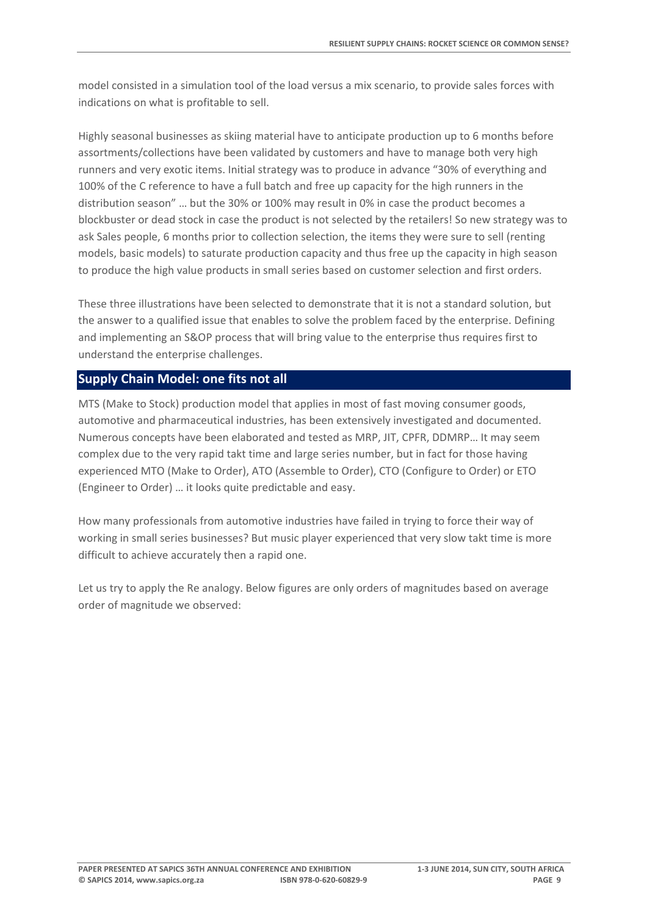model consisted in a simulation tool of the load versus a mix scenario, to provide sales forces with indications on what is profitable to sell.

Highly seasonal businesses as skiing material have to anticipate production up to 6 months before assortments/collections have been validated by customers and have to manage both very high runners and very exotic items. Initial strategy was to produce in advance "30% of everything and 100% of the C reference to have a full batch and free up capacity for the high runners in the distribution season" … but the 30% or 100% may result in 0% in case the product becomes a blockbuster or dead stock in case the product is not selected by the retailers! So new strategy was to ask Sales people, 6 months prior to collection selection, the items they were sure to sell (renting models, basic models) to saturate production capacity and thus free up the capacity in high season to produce the high value products in small series based on customer selection and first orders.

These three illustrations have been selected to demonstrate that it is not a standard solution, but the answer to a qualified issue that enables to solve the problem faced by the enterprise. Defining and implementing an S&OP process that will bring value to the enterprise thus requires first to understand the enterprise challenges.

#### **Supply Chain Model: one fits not all**

MTS (Make to Stock) production model that applies in most of fast moving consumer goods, automotive and pharmaceutical industries, has been extensively investigated and documented. Numerous concepts have been elaborated and tested as MRP, JIT, CPFR, DDMRP… It may seem complex due to the very rapid takt time and large series number, but in fact for those having experienced MTO (Make to Order), ATO (Assemble to Order), CTO (Configure to Order) or ETO (Engineer to Order) … it looks quite predictable and easy.

How many professionals from automotive industries have failed in trying to force their way of working in small series businesses? But music player experienced that very slow takt time is more difficult to achieve accurately then a rapid one.

Let us try to apply the Re analogy. Below figures are only orders of magnitudes based on average order of magnitude we observed: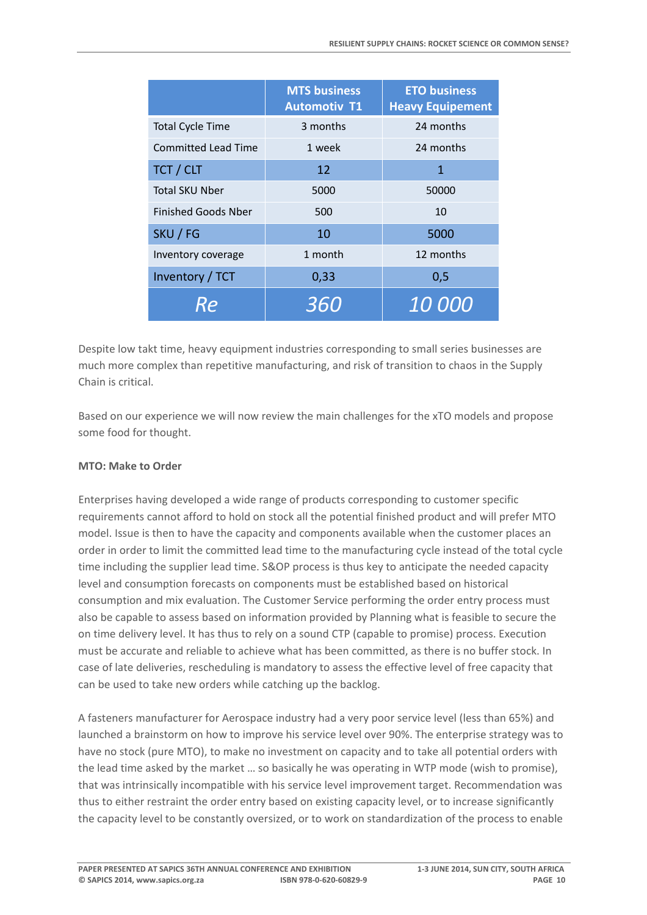|                            | <b>MTS business</b><br><b>Automotiv T1</b> | <b>ETO business</b><br><b>Heavy Equipement</b> |
|----------------------------|--------------------------------------------|------------------------------------------------|
| <b>Total Cycle Time</b>    | 3 months                                   | 24 months                                      |
| <b>Committed Lead Time</b> | 1 week                                     | 24 months                                      |
| TCT / CLT                  | 12                                         | 1                                              |
| <b>Total SKU Nber</b>      | 5000                                       | 50000                                          |
| <b>Finished Goods Nber</b> | 500                                        | 10                                             |
| SKU / FG                   | 10                                         | 5000                                           |
| Inventory coverage         | 1 month                                    | 12 months                                      |
| Inventory / TCT            | 0,33                                       | 0,5                                            |
| Re                         | 360                                        | <i>10 000</i>                                  |

Despite low takt time, heavy equipment industries corresponding to small series businesses are much more complex than repetitive manufacturing, and risk of transition to chaos in the Supply Chain is critical.

Based on our experience we will now review the main challenges for the xTO models and propose some food for thought.

## **MTO: Make to Order**

Enterprises having developed a wide range of products corresponding to customer specific requirements cannot afford to hold on stock all the potential finished product and will prefer MTO model. Issue is then to have the capacity and components available when the customer places an order in order to limit the committed lead time to the manufacturing cycle instead of the total cycle time including the supplier lead time. S&OP process is thus key to anticipate the needed capacity level and consumption forecasts on components must be established based on historical consumption and mix evaluation. The Customer Service performing the order entry process must also be capable to assess based on information provided by Planning what is feasible to secure the on time delivery level. It has thus to rely on a sound CTP (capable to promise) process. Execution must be accurate and reliable to achieve what has been committed, as there is no buffer stock. In case of late deliveries, rescheduling is mandatory to assess the effective level of free capacity that can be used to take new orders while catching up the backlog.

A fasteners manufacturer for Aerospace industry had a very poor service level (less than 65%) and launched a brainstorm on how to improve his service level over 90%. The enterprise strategy was to have no stock (pure MTO), to make no investment on capacity and to take all potential orders with the lead time asked by the market … so basically he was operating in WTP mode (wish to promise), that was intrinsically incompatible with his service level improvement target. Recommendation was thus to either restraint the order entry based on existing capacity level, or to increase significantly the capacity level to be constantly oversized, or to work on standardization of the process to enable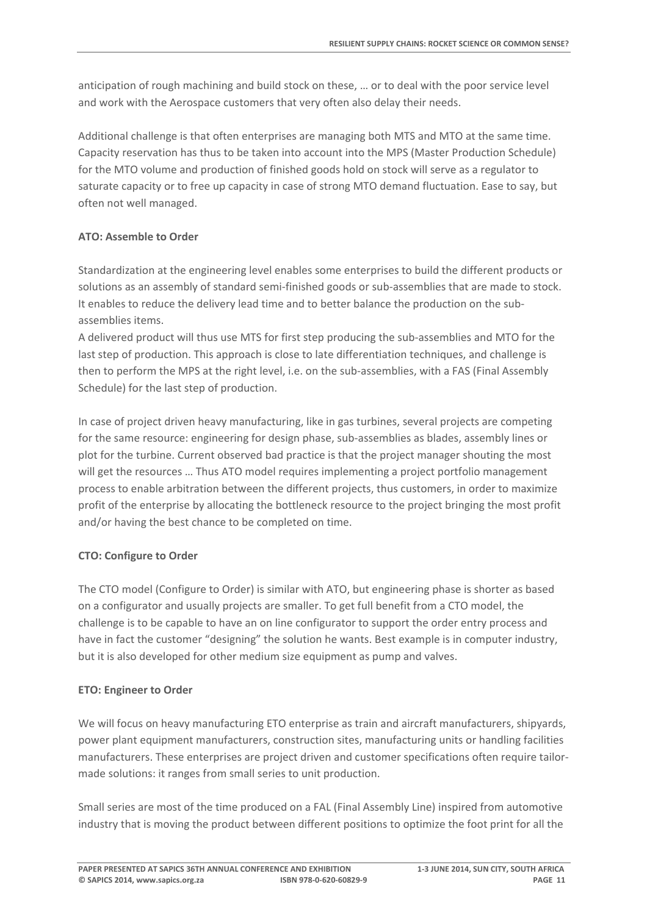anticipation of rough machining and build stock on these, … or to deal with the poor service level and work with the Aerospace customers that very often also delay their needs.

Additional challenge is that often enterprises are managing both MTS and MTO at the same time. Capacity reservation has thus to be taken into account into the MPS (Master Production Schedule) for the MTO volume and production of finished goods hold on stock will serve as a regulator to saturate capacity or to free up capacity in case of strong MTO demand fluctuation. Ease to say, but often not well managed.

## **ATO: Assemble to Order**

Standardization at the engineering level enables some enterprises to build the different products or solutions as an assembly of standard semi-finished goods or sub-assemblies that are made to stock. It enables to reduce the delivery lead time and to better balance the production on the sub‐ assemblies items.

A delivered product will thus use MTS for first step producing the sub‐assemblies and MTO for the last step of production. This approach is close to late differentiation techniques, and challenge is then to perform the MPS at the right level, i.e. on the sub‐assemblies, with a FAS (Final Assembly Schedule) for the last step of production.

In case of project driven heavy manufacturing, like in gas turbines, several projects are competing for the same resource: engineering for design phase, sub‐assemblies as blades, assembly lines or plot for the turbine. Current observed bad practice is that the project manager shouting the most will get the resources … Thus ATO model requires implementing a project portfolio management process to enable arbitration between the different projects, thus customers, in order to maximize profit of the enterprise by allocating the bottleneck resource to the project bringing the most profit and/or having the best chance to be completed on time.

## **CTO: Configure to Order**

The CTO model (Configure to Order) is similar with ATO, but engineering phase is shorter as based on a configurator and usually projects are smaller. To get full benefit from a CTO model, the challenge is to be capable to have an on line configurator to support the order entry process and have in fact the customer "designing" the solution he wants. Best example is in computer industry, but it is also developed for other medium size equipment as pump and valves.

#### **ETO: Engineer to Order**

We will focus on heavy manufacturing ETO enterprise as train and aircraft manufacturers, shipyards, power plant equipment manufacturers, construction sites, manufacturing units or handling facilities manufacturers. These enterprises are project driven and customer specifications often require tailor‐ made solutions: it ranges from small series to unit production.

Small series are most of the time produced on a FAL (Final Assembly Line) inspired from automotive industry that is moving the product between different positions to optimize the foot print for all the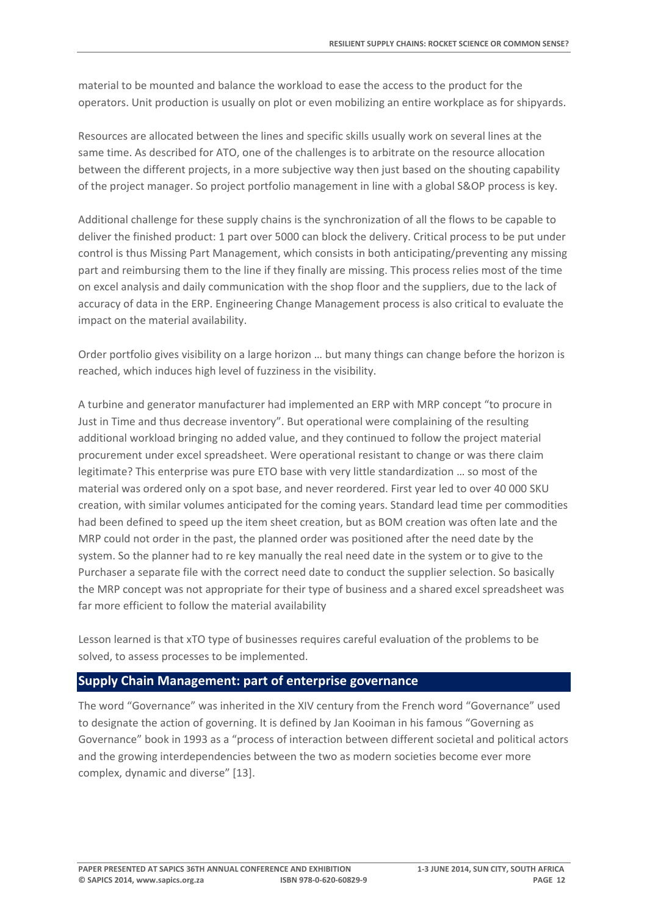material to be mounted and balance the workload to ease the access to the product for the operators. Unit production is usually on plot or even mobilizing an entire workplace as for shipyards.

Resources are allocated between the lines and specific skills usually work on several lines at the same time. As described for ATO, one of the challenges is to arbitrate on the resource allocation between the different projects, in a more subjective way then just based on the shouting capability of the project manager. So project portfolio management in line with a global S&OP process is key.

Additional challenge for these supply chains is the synchronization of all the flows to be capable to deliver the finished product: 1 part over 5000 can block the delivery. Critical process to be put under control is thus Missing Part Management, which consists in both anticipating/preventing any missing part and reimbursing them to the line if they finally are missing. This process relies most of the time on excel analysis and daily communication with the shop floor and the suppliers, due to the lack of accuracy of data in the ERP. Engineering Change Management process is also critical to evaluate the impact on the material availability.

Order portfolio gives visibility on a large horizon … but many things can change before the horizon is reached, which induces high level of fuzziness in the visibility.

A turbine and generator manufacturer had implemented an ERP with MRP concept "to procure in Just in Time and thus decrease inventory". But operational were complaining of the resulting additional workload bringing no added value, and they continued to follow the project material procurement under excel spreadsheet. Were operational resistant to change or was there claim legitimate? This enterprise was pure ETO base with very little standardization … so most of the material was ordered only on a spot base, and never reordered. First year led to over 40 000 SKU creation, with similar volumes anticipated for the coming years. Standard lead time per commodities had been defined to speed up the item sheet creation, but as BOM creation was often late and the MRP could not order in the past, the planned order was positioned after the need date by the system. So the planner had to re key manually the real need date in the system or to give to the Purchaser a separate file with the correct need date to conduct the supplier selection. So basically the MRP concept was not appropriate for their type of business and a shared excel spreadsheet was far more efficient to follow the material availability

Lesson learned is that xTO type of businesses requires careful evaluation of the problems to be solved, to assess processes to be implemented.

#### **Supply Chain Management: part of enterprise governance**

The word "Governance" was inherited in the XIV century from the French word "Governance" used to designate the action of governing. It is defined by Jan Kooiman in his famous "Governing as Governance" book in 1993 as a "process of interaction between different societal and political actors and the growing interdependencies between the two as modern societies become ever more complex, dynamic and diverse" [13].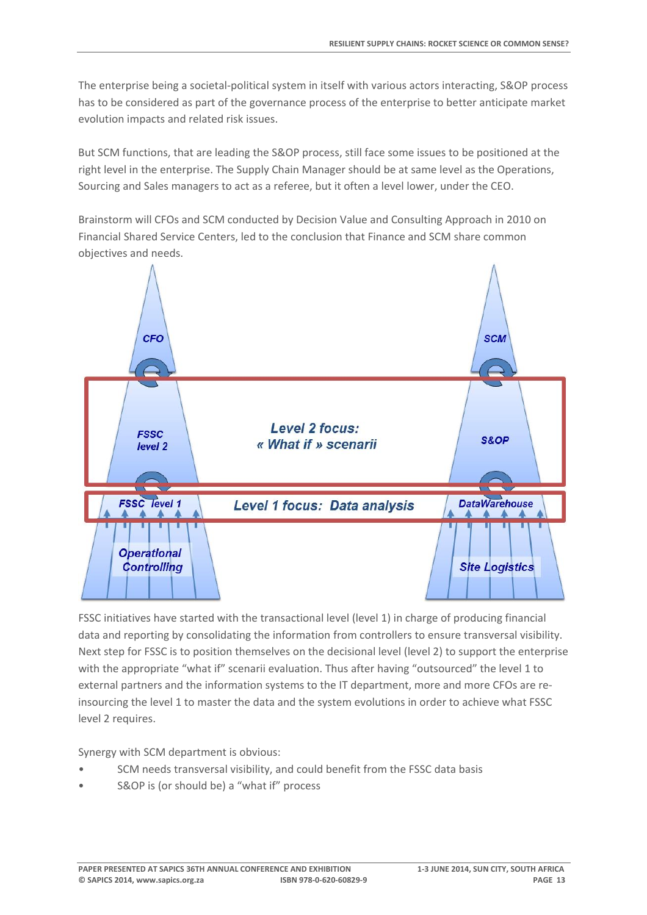The enterprise being a societal-political system in itself with various actors interacting, S&OP process has to be considered as part of the governance process of the enterprise to better anticipate market evolution impacts and related risk issues.

But SCM functions, that are leading the S&OP process, still face some issues to be positioned at the right level in the enterprise. The Supply Chain Manager should be at same level as the Operations, Sourcing and Sales managers to act as a referee, but it often a level lower, under the CEO.

Brainstorm will CFOs and SCM conducted by Decision Value and Consulting Approach in 2010 on Financial Shared Service Centers, led to the conclusion that Finance and SCM share common objectives and needs.



FSSC initiatives have started with the transactional level (level 1) in charge of producing financial data and reporting by consolidating the information from controllers to ensure transversal visibility. Next step for FSSC is to position themselves on the decisional level (level 2) to support the enterprise with the appropriate "what if" scenarii evaluation. Thus after having "outsourced" the level 1 to external partners and the information systems to the IT department, more and more CFOs are re‐ insourcing the level 1 to master the data and the system evolutions in order to achieve what FSSC level 2 requires.

Synergy with SCM department is obvious:

- SCM needs transversal visibility, and could benefit from the FSSC data basis
- S&OP is (or should be) a "what if" process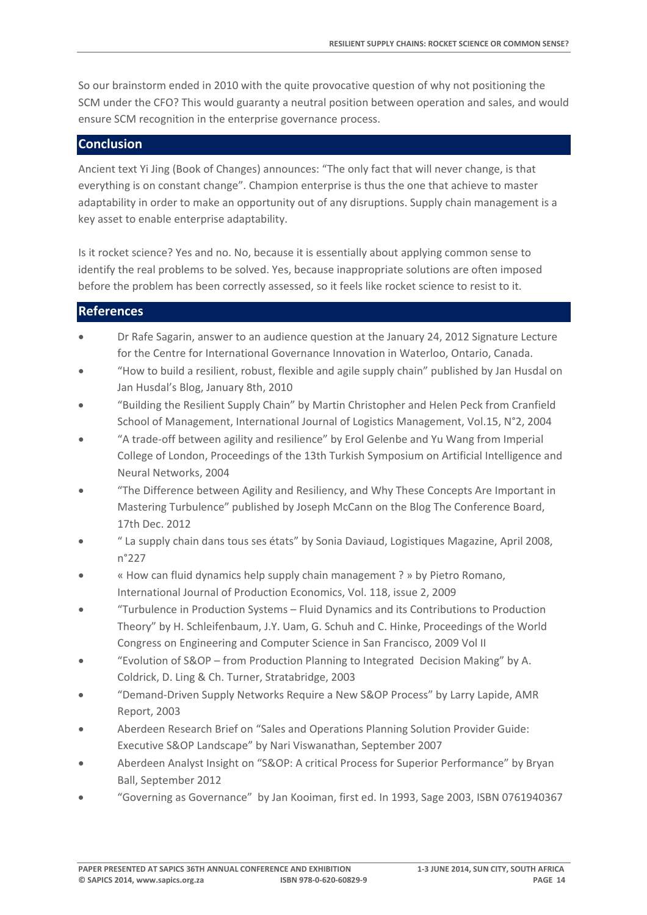So our brainstorm ended in 2010 with the quite provocative question of why not positioning the SCM under the CFO? This would guaranty a neutral position between operation and sales, and would ensure SCM recognition in the enterprise governance process.

#### **Conclusion**

Ancient text Yi Jing (Book of Changes) announces: "The only fact that will never change, is that everything is on constant change". Champion enterprise is thus the one that achieve to master adaptability in order to make an opportunity out of any disruptions. Supply chain management is a key asset to enable enterprise adaptability.

Is it rocket science? Yes and no. No, because it is essentially about applying common sense to identify the real problems to be solved. Yes, because inappropriate solutions are often imposed before the problem has been correctly assessed, so it feels like rocket science to resist to it.

## **References**

- Dr Rafe Sagarin, answer to an audience question at the January 24, 2012 Signature Lecture for the Centre for International Governance Innovation in Waterloo, Ontario, Canada.
- "How to build a resilient, robust, flexible and agile supply chain" published by Jan Husdal on Jan Husdal's Blog, January 8th, 2010
- "Building the Resilient Supply Chain" by Martin Christopher and Helen Peck from Cranfield School of Management, International Journal of Logistics Management, Vol.15, N°2, 2004
- "A trade‐off between agility and resilience" by Erol Gelenbe and Yu Wang from Imperial College of London, Proceedings of the 13th Turkish Symposium on Artificial Intelligence and Neural Networks, 2004
- "The Difference between Agility and Resiliency, and Why These Concepts Are Important in Mastering Turbulence" published by Joseph McCann on the Blog The Conference Board, 17th Dec. 2012
- " La supply chain dans tous ses états" by Sonia Daviaud, Logistiques Magazine, April 2008, n°227
- « How can fluid dynamics help supply chain management ? » by Pietro Romano, International Journal of Production Economics, Vol. 118, issue 2, 2009
- "Turbulence in Production Systems Fluid Dynamics and its Contributions to Production Theory" by H. Schleifenbaum, J.Y. Uam, G. Schuh and C. Hinke, Proceedings of the World Congress on Engineering and Computer Science in San Francisco, 2009 Vol II
- "Evolution of S&OP from Production Planning to Integrated Decision Making" by A. Coldrick, D. Ling & Ch. Turner, Stratabridge, 2003
- "Demand‐Driven Supply Networks Require a New S&OP Process" by Larry Lapide, AMR Report, 2003
- Aberdeen Research Brief on "Sales and Operations Planning Solution Provider Guide: Executive S&OP Landscape" by Nari Viswanathan, September 2007
- Aberdeen Analyst Insight on "S&OP: A critical Process for Superior Performance" by Bryan Ball, September 2012
- "Governing as Governance" by Jan Kooiman, first ed. In 1993, Sage 2003, ISBN 0761940367